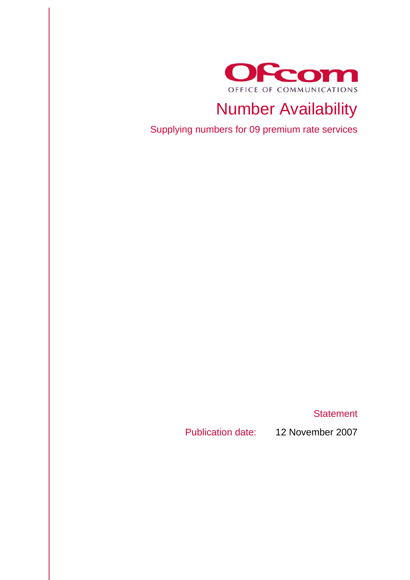

# Number Availability

Supplying numbers for 09 premium rate services

**Statement** 

Publication date: 12 November 2007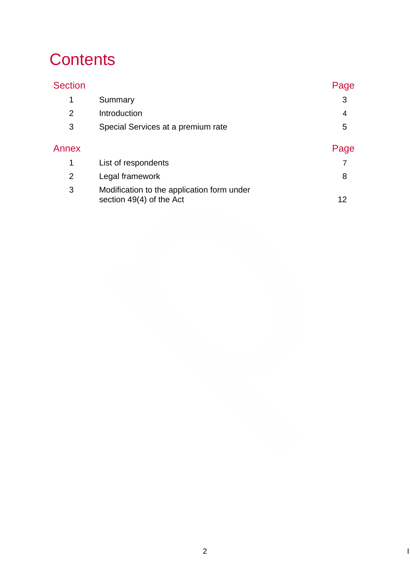# **Contents**

| <b>Section</b> |                                                                        | Page |
|----------------|------------------------------------------------------------------------|------|
| 1              | Summary                                                                | 3    |
| 2              | Introduction                                                           | 4    |
| 3              | Special Services at a premium rate                                     | 5    |
| Annex          |                                                                        | Page |
| 1              | List of respondents                                                    |      |
| $\overline{2}$ | Legal framework                                                        | 8    |
| 3              | Modification to the application form under<br>section 49(4) of the Act | 12   |
|                |                                                                        |      |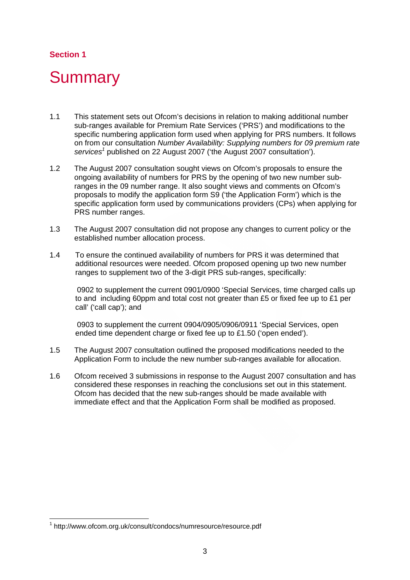## **Section 1**

# **Summary**

- 1.1 This statement sets out Ofcom's decisions in relation to making additional number sub-ranges available for Premium Rate Services ('PRS') and modifications to the specific numbering application form used when applying for PRS numbers. It follows on from our consultation *Number Availability: Supplying numbers for 09 premium rate*  services<sup>1</sup> published on 22 August 2007 ('the August 2007 consultation').
- 1.2 The August 2007 consultation sought views on Ofcom's proposals to ensure the ongoing availability of numbers for PRS by the opening of two new number subranges in the 09 number range. It also sought views and comments on Ofcom's proposals to modify the application form S9 ('the Application Form') which is the specific application form used by communications providers (CPs) when applying for PRS number ranges.
- 1.3 The August 2007 consultation did not propose any changes to current policy or the established number allocation process.
- 1.4 To ensure the continued availability of numbers for PRS it was determined that additional resources were needed. Ofcom proposed opening up two new number ranges to supplement two of the 3-digit PRS sub-ranges, specifically:

 0902 to supplement the current 0901/0900 'Special Services, time charged calls up to and including 60ppm and total cost not greater than £5 or fixed fee up to £1 per call' ('call cap'); and

 0903 to supplement the current 0904/0905/0906/0911 'Special Services, open ended time dependent charge or fixed fee up to £1.50 ('open ended').

- 1.5 The August 2007 consultation outlined the proposed modifications needed to the Application Form to include the new number sub-ranges available for allocation.
- 1.6 Ofcom received 3 submissions in response to the August 2007 consultation and has considered these responses in reaching the conclusions set out in this statement. Ofcom has decided that the new sub-ranges should be made available with immediate effect and that the Application Form shall be modified as proposed.

1

<sup>1</sup> http://www.ofcom.org.uk/consult/condocs/numresource/resource.pdf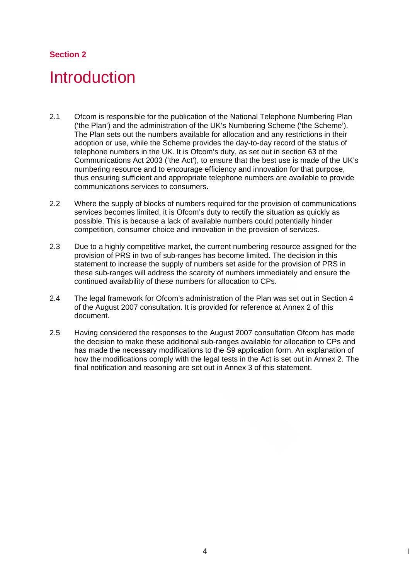## **Section 2**

# **Introduction**

- 2.1 Ofcom is responsible for the publication of the National Telephone Numbering Plan ('the Plan') and the administration of the UK's Numbering Scheme ('the Scheme'). The Plan sets out the numbers available for allocation and any restrictions in their adoption or use, while the Scheme provides the day-to-day record of the status of telephone numbers in the UK. It is Ofcom's duty, as set out in section 63 of the Communications Act 2003 ('the Act'), to ensure that the best use is made of the UK's numbering resource and to encourage efficiency and innovation for that purpose, thus ensuring sufficient and appropriate telephone numbers are available to provide communications services to consumers.
- 2.2 Where the supply of blocks of numbers required for the provision of communications services becomes limited, it is Ofcom's duty to rectify the situation as quickly as possible. This is because a lack of available numbers could potentially hinder competition, consumer choice and innovation in the provision of services.
- 2.3 Due to a highly competitive market, the current numbering resource assigned for the provision of PRS in two of sub-ranges has become limited. The decision in this statement to increase the supply of numbers set aside for the provision of PRS in these sub-ranges will address the scarcity of numbers immediately and ensure the continued availability of these numbers for allocation to CPs.
- 2.4 The legal framework for Ofcom's administration of the Plan was set out in Section 4 of the August 2007 consultation. It is provided for reference at Annex 2 of this document.
- 2.5 Having considered the responses to the August 2007 consultation Ofcom has made the decision to make these additional sub-ranges available for allocation to CPs and has made the necessary modifications to the S9 application form. An explanation of how the modifications comply with the legal tests in the Act is set out in Annex 2. The final notification and reasoning are set out in Annex 3 of this statement.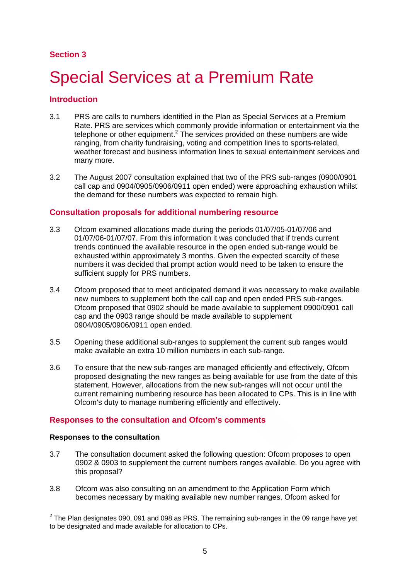### **Section 3**

# 3 Special Services at a Premium Rate

#### **Introduction**

- 3.1 PRS are calls to numbers identified in the Plan as Special Services at a Premium Rate. PRS are services which commonly provide information or entertainment via the telephone or other equipment.<sup>2</sup> The services provided on these numbers are wide ranging, from charity fundraising, voting and competition lines to sports-related, weather forecast and business information lines to sexual entertainment services and many more.
- 3.2 The August 2007 consultation explained that two of the PRS sub-ranges (0900/0901 call cap and 0904/0905/0906/0911 open ended) were approaching exhaustion whilst the demand for these numbers was expected to remain high.

#### **Consultation proposals for additional numbering resource**

- 3.3 Ofcom examined allocations made during the periods 01/07/05-01/07/06 and 01/07/06-01/07/07. From this information it was concluded that if trends current trends continued the available resource in the open ended sub-range would be exhausted within approximately 3 months. Given the expected scarcity of these numbers it was decided that prompt action would need to be taken to ensure the sufficient supply for PRS numbers.
- 3.4 Ofcom proposed that to meet anticipated demand it was necessary to make available new numbers to supplement both the call cap and open ended PRS sub-ranges. Ofcom proposed that 0902 should be made available to supplement 0900/0901 call cap and the 0903 range should be made available to supplement 0904/0905/0906/0911 open ended.
- 3.5 Opening these additional sub-ranges to supplement the current sub ranges would make available an extra 10 million numbers in each sub-range.
- 3.6 To ensure that the new sub-ranges are managed efficiently and effectively, Ofcom proposed designating the new ranges as being available for use from the date of this statement. However, allocations from the new sub-ranges will not occur until the current remaining numbering resource has been allocated to CPs. This is in line with Ofcom's duty to manage numbering efficiently and effectively.

#### **Responses to the consultation and Ofcom's comments**

#### **Responses to the consultation**

- 3.7 The consultation document asked the following question: Ofcom proposes to open 0902 & 0903 to supplement the current numbers ranges available. Do you agree with this proposal?
- 3.8 Ofcom was also consulting on an amendment to the Application Form which becomes necessary by making available new number ranges. Ofcom asked for

 2 The Plan designates 090, 091 and 098 as PRS. The remaining sub-ranges in the 09 range have yet to be designated and made available for allocation to CPs.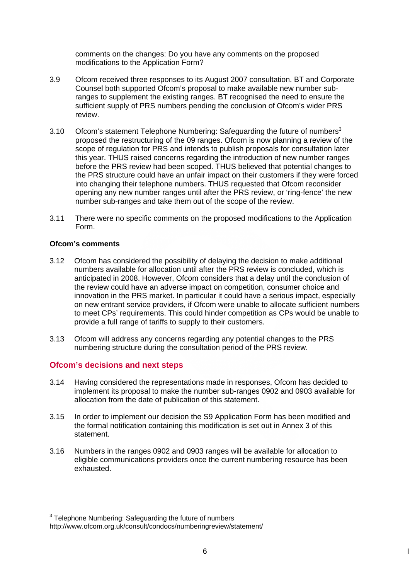comments on the changes: Do you have any comments on the proposed modifications to the Application Form?

- 3.9 Ofcom received three responses to its August 2007 consultation. BT and Corporate Counsel both supported Ofcom's proposal to make available new number subranges to supplement the existing ranges. BT recognised the need to ensure the sufficient supply of PRS numbers pending the conclusion of Ofcom's wider PRS review.
- 3.10 Ofcom's statement Telephone Numbering: Safeguarding the future of numbers<sup>3</sup> proposed the restructuring of the 09 ranges. Ofcom is now planning a review of the scope of regulation for PRS and intends to publish proposals for consultation later this year. THUS raised concerns regarding the introduction of new number ranges before the PRS review had been scoped. THUS believed that potential changes to the PRS structure could have an unfair impact on their customers if they were forced into changing their telephone numbers. THUS requested that Ofcom reconsider opening any new number ranges until after the PRS review, or 'ring-fence' the new number sub-ranges and take them out of the scope of the review.
- 3.11 There were no specific comments on the proposed modifications to the Application Form.

#### **Ofcom's comments**

- 3.12 Ofcom has considered the possibility of delaying the decision to make additional numbers available for allocation until after the PRS review is concluded, which is anticipated in 2008. However, Ofcom considers that a delay until the conclusion of the review could have an adverse impact on competition, consumer choice and innovation in the PRS market. In particular it could have a serious impact, especially on new entrant service providers, if Ofcom were unable to allocate sufficient numbers to meet CPs' requirements. This could hinder competition as CPs would be unable to provide a full range of tariffs to supply to their customers.
- 3.13 Ofcom will address any concerns regarding any potential changes to the PRS numbering structure during the consultation period of the PRS review.

#### **Ofcom's decisions and next steps**

- 3.14 Having considered the representations made in responses, Ofcom has decided to implement its proposal to make the number sub-ranges 0902 and 0903 available for allocation from the date of publication of this statement.
- 3.15 In order to implement our decision the S9 Application Form has been modified and the formal notification containing this modification is set out in Annex 3 of this statement.
- 3.16 Numbers in the ranges 0902 and 0903 ranges will be available for allocation to eligible communications providers once the current numbering resource has been exhausted.

<sup>1</sup>  $3$  Telephone Numbering: Safeguarding the future of numbers http://www.ofcom.org.uk/consult/condocs/numberingreview/statement/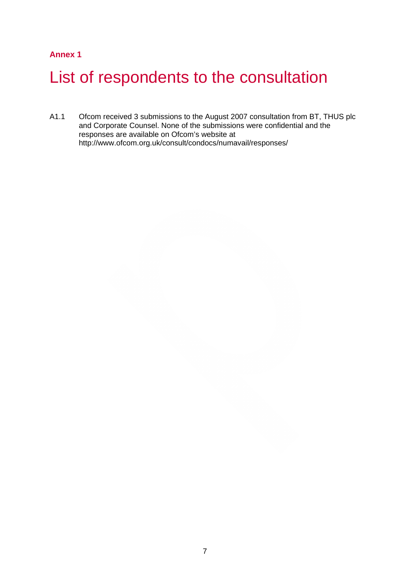### **Annex 1**

# List of respondents to the consultation

A1.1 Ofcom received 3 submissions to the August 2007 consultation from BT, THUS plc and Corporate Counsel. None of the submissions were confidential and the responses are available on Ofcom's website at http://www.ofcom.org.uk/consult/condocs/numavail/responses/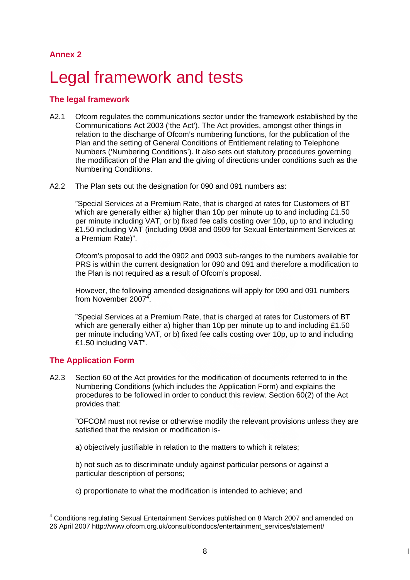## **Annex 2**

# Legal framework and tests

### **The legal framework**

- A2.1 Ofcom regulates the communications sector under the framework established by the Communications Act 2003 ('the Act'). The Act provides, amongst other things in relation to the discharge of Ofcom's numbering functions, for the publication of the Plan and the setting of General Conditions of Entitlement relating to Telephone Numbers ('Numbering Conditions'). It also sets out statutory procedures governing the modification of the Plan and the giving of directions under conditions such as the Numbering Conditions.
- A2.2 The Plan sets out the designation for 090 and 091 numbers as:

"Special Services at a Premium Rate, that is charged at rates for Customers of BT which are generally either a) higher than 10p per minute up to and including £1.50 per minute including VAT, or b) fixed fee calls costing over 10p, up to and including £1.50 including VAT (including 0908 and 0909 for Sexual Entertainment Services at a Premium Rate)".

Ofcom's proposal to add the 0902 and 0903 sub-ranges to the numbers available for PRS is within the current designation for 090 and 091 and therefore a modification to the Plan is not required as a result of Ofcom's proposal.

However, the following amended designations will apply for 090 and 091 numbers from November 2007<sup>4</sup>.

"Special Services at a Premium Rate, that is charged at rates for Customers of BT which are generally either a) higher than 10p per minute up to and including £1.50 per minute including VAT, or b) fixed fee calls costing over 10p, up to and including £1.50 including VAT".

### **The Application Form**

A2.3 Section 60 of the Act provides for the modification of documents referred to in the Numbering Conditions (which includes the Application Form) and explains the procedures to be followed in order to conduct this review. Section 60(2) of the Act provides that:

"OFCOM must not revise or otherwise modify the relevant provisions unless they are satisfied that the revision or modification is-

a) objectively justifiable in relation to the matters to which it relates;

b) not such as to discriminate unduly against particular persons or against a particular description of persons;

c) proportionate to what the modification is intended to achieve; and

<sup>1</sup> <sup>4</sup> Conditions regulating Sexual Entertainment Services published on 8 March 2007 and amended on 26 April 2007 http://www.ofcom.org.uk/consult/condocs/entertainment\_services/statement/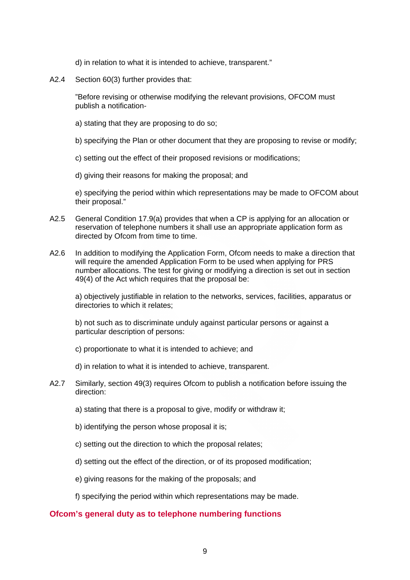d) in relation to what it is intended to achieve, transparent."

A2.4 Section 60(3) further provides that:

"Before revising or otherwise modifying the relevant provisions, OFCOM must publish a notification-

- a) stating that they are proposing to do so;
- b) specifying the Plan or other document that they are proposing to revise or modify;
- c) setting out the effect of their proposed revisions or modifications;
- d) giving their reasons for making the proposal; and

e) specifying the period within which representations may be made to OFCOM about their proposal."

- A2.5 General Condition 17.9(a) provides that when a CP is applying for an allocation or reservation of telephone numbers it shall use an appropriate application form as directed by Ofcom from time to time.
- A2.6 In addition to modifying the Application Form, Ofcom needs to make a direction that will require the amended Application Form to be used when applying for PRS number allocations. The test for giving or modifying a direction is set out in section 49(4) of the Act which requires that the proposal be:

a) objectively justifiable in relation to the networks, services, facilities, apparatus or directories to which it relates;

b) not such as to discriminate unduly against particular persons or against a particular description of persons:

- c) proportionate to what it is intended to achieve; and
- d) in relation to what it is intended to achieve, transparent.
- A2.7 Similarly, section 49(3) requires Ofcom to publish a notification before issuing the direction:
	- a) stating that there is a proposal to give, modify or withdraw it;
	- b) identifying the person whose proposal it is;
	- c) setting out the direction to which the proposal relates;
	- d) setting out the effect of the direction, or of its proposed modification;
	- e) giving reasons for the making of the proposals; and
	- f) specifying the period within which representations may be made.

#### **Ofcom's general duty as to telephone numbering functions**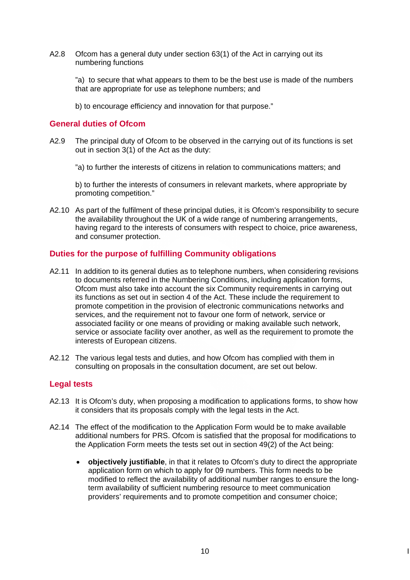A2.8 Ofcom has a general duty under section 63(1) of the Act in carrying out its numbering functions

"a) to secure that what appears to them to be the best use is made of the numbers that are appropriate for use as telephone numbers; and

b) to encourage efficiency and innovation for that purpose."

#### **General duties of Ofcom**

A2.9 The principal duty of Ofcom to be observed in the carrying out of its functions is set out in section 3(1) of the Act as the duty:

"a) to further the interests of citizens in relation to communications matters; and

b) to further the interests of consumers in relevant markets, where appropriate by promoting competition."

A2.10 As part of the fulfilment of these principal duties, it is Ofcom's responsibility to secure the availability throughout the UK of a wide range of numbering arrangements, having regard to the interests of consumers with respect to choice, price awareness, and consumer protection.

#### **Duties for the purpose of fulfilling Community obligations**

- A2.11 In addition to its general duties as to telephone numbers, when considering revisions to documents referred in the Numbering Conditions, including application forms, Ofcom must also take into account the six Community requirements in carrying out its functions as set out in section 4 of the Act. These include the requirement to promote competition in the provision of electronic communications networks and services, and the requirement not to favour one form of network, service or associated facility or one means of providing or making available such network, service or associate facility over another, as well as the requirement to promote the interests of European citizens.
- A2.12 The various legal tests and duties, and how Ofcom has complied with them in consulting on proposals in the consultation document, are set out below.

#### **Legal tests**

- A2.13 It is Ofcom's duty, when proposing a modification to applications forms, to show how it considers that its proposals comply with the legal tests in the Act.
- A2.14 The effect of the modification to the Application Form would be to make available additional numbers for PRS. Ofcom is satisfied that the proposal for modifications to the Application Form meets the tests set out in section 49(2) of the Act being:
	- **objectively justifiable**, in that it relates to Ofcom's duty to direct the appropriate application form on which to apply for 09 numbers. This form needs to be modified to reflect the availability of additional number ranges to ensure the longterm availability of sufficient numbering resource to meet communication providers' requirements and to promote competition and consumer choice;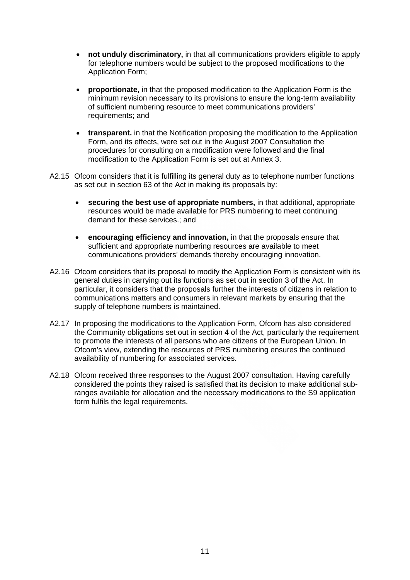- **not unduly discriminatory,** in that all communications providers eligible to apply for telephone numbers would be subject to the proposed modifications to the Application Form;
- **proportionate,** in that the proposed modification to the Application Form is the minimum revision necessary to its provisions to ensure the long-term availability of sufficient numbering resource to meet communications providers' requirements; and
- **transparent.** in that the Notification proposing the modification to the Application Form, and its effects, were set out in the August 2007 Consultation the procedures for consulting on a modification were followed and the final modification to the Application Form is set out at Annex 3.
- A2.15 Ofcom considers that it is fulfilling its general duty as to telephone number functions as set out in section 63 of the Act in making its proposals by:
	- **securing the best use of appropriate numbers,** in that additional, appropriate resources would be made available for PRS numbering to meet continuing demand for these services.; and
	- **encouraging efficiency and innovation,** in that the proposals ensure that sufficient and appropriate numbering resources are available to meet communications providers' demands thereby encouraging innovation.
- A2.16 Ofcom considers that its proposal to modify the Application Form is consistent with its general duties in carrying out its functions as set out in section 3 of the Act. In particular, it considers that the proposals further the interests of citizens in relation to communications matters and consumers in relevant markets by ensuring that the supply of telephone numbers is maintained.
- A2.17 In proposing the modifications to the Application Form, Ofcom has also considered the Community obligations set out in section 4 of the Act, particularly the requirement to promote the interests of all persons who are citizens of the European Union. In Ofcom's view, extending the resources of PRS numbering ensures the continued availability of numbering for associated services.
- A2.18 Ofcom received three responses to the August 2007 consultation. Having carefully considered the points they raised is satisfied that its decision to make additional subranges available for allocation and the necessary modifications to the S9 application form fulfils the legal requirements.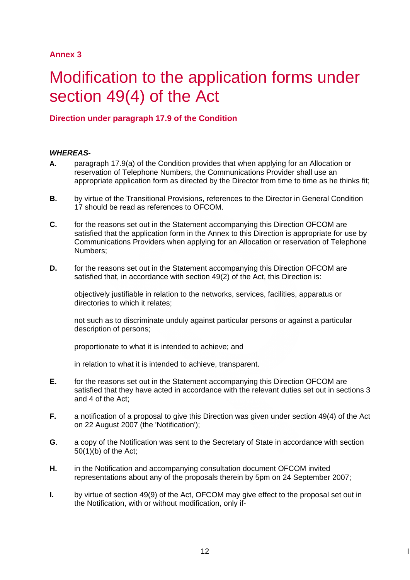### **Annex 3**

# Modification to the application forms under section 49(4) of the Act

### **Direction under paragraph 17.9 of the Condition**

#### *WHEREAS-*

- **A.** paragraph 17.9(a) of the Condition provides that when applying for an Allocation or reservation of Telephone Numbers, the Communications Provider shall use an appropriate application form as directed by the Director from time to time as he thinks fit;
- **B.** by virtue of the Transitional Provisions, references to the Director in General Condition 17 should be read as references to OFCOM.
- **C. for the reasons set out in the Statement accompanying this Direction OFCOM are** satisfied that the application form in the Annex to this Direction is appropriate for use by Communications Providers when applying for an Allocation or reservation of Telephone Numbers;
- **D. for the reasons set out in the Statement accompanying this Direction OFCOM are** satisfied that, in accordance with section 49(2) of the Act, this Direction is:

 objectively justifiable in relation to the networks, services, facilities, apparatus or directories to which it relates;

 not such as to discriminate unduly against particular persons or against a particular description of persons;

proportionate to what it is intended to achieve; and

in relation to what it is intended to achieve, transparent.

- **E.** for the reasons set out in the Statement accompanying this Direction OFCOM are satisfied that they have acted in accordance with the relevant duties set out in sections 3 and 4 of the Act;
- **F.** a notification of a proposal to give this Direction was given under section 49(4) of the Act on 22 August 2007 (the 'Notification');
- **G**. a copy of the Notification was sent to the Secretary of State in accordance with section 50(1)(b) of the Act;
- **H.** in the Notification and accompanying consultation document OFCOM invited representations about any of the proposals therein by 5pm on 24 September 2007;
- **I.** by virtue of section 49(9) of the Act, OFCOM may give effect to the proposal set out in the Notification, with or without modification, only if-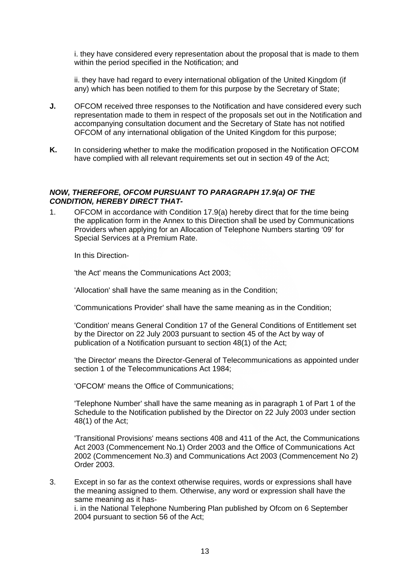i. they have considered every representation about the proposal that is made to them within the period specified in the Notification; and

 ii. they have had regard to every international obligation of the United Kingdom (if any) which has been notified to them for this purpose by the Secretary of State;

- **J.** OFCOM received three responses to the Notification and have considered every such representation made to them in respect of the proposals set out in the Notification and accompanying consultation document and the Secretary of State has not notified OFCOM of any international obligation of the United Kingdom for this purpose;
- **K.** In considering whether to make the modification proposed in the Notification OFCOM have complied with all relevant requirements set out in section 49 of the Act;

#### *NOW, THEREFORE, OFCOM PURSUANT TO PARAGRAPH 17.9(a) OF THE CONDITION, HEREBY DIRECT THAT-*

1. OFCOM in accordance with Condition 17.9(a) hereby direct that for the time being the application form in the Annex to this Direction shall be used by Communications Providers when applying for an Allocation of Telephone Numbers starting '09' for Special Services at a Premium Rate.

In this Direction-

'the Act' means the Communications Act 2003;

'Allocation' shall have the same meaning as in the Condition;

'Communications Provider' shall have the same meaning as in the Condition;

 'Condition' means General Condition 17 of the General Conditions of Entitlement set by the Director on 22 July 2003 pursuant to section 45 of the Act by way of publication of a Notification pursuant to section 48(1) of the Act;

 'the Director' means the Director-General of Telecommunications as appointed under section 1 of the Telecommunications Act 1984;

'OFCOM' means the Office of Communications;

 'Telephone Number' shall have the same meaning as in paragraph 1 of Part 1 of the Schedule to the Notification published by the Director on 22 July 2003 under section 48(1) of the Act;

 'Transitional Provisions' means sections 408 and 411 of the Act, the Communications Act 2003 (Commencement No.1) Order 2003 and the Office of Communications Act 2002 (Commencement No.3) and Communications Act 2003 (Commencement No 2) Order 2003.

3. Except in so far as the context otherwise requires, words or expressions shall have the meaning assigned to them. Otherwise, any word or expression shall have the same meaning as it hasi. in the National Telephone Numbering Plan published by Ofcom on 6 September 2004 pursuant to section 56 of the Act;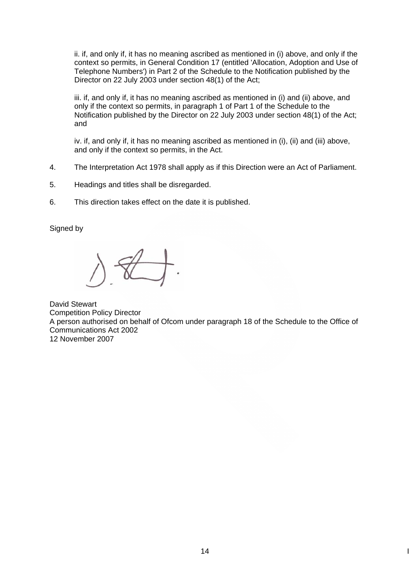ii. if, and only if, it has no meaning ascribed as mentioned in (i) above, and only if the context so permits, in General Condition 17 (entitled 'Allocation, Adoption and Use of Telephone Numbers') in Part 2 of the Schedule to the Notification published by the Director on 22 July 2003 under section 48(1) of the Act;

iii. if, and only if, it has no meaning ascribed as mentioned in (i) and (ii) above, and only if the context so permits, in paragraph 1 of Part 1 of the Schedule to the Notification published by the Director on 22 July 2003 under section 48(1) of the Act; and

iv. if, and only if, it has no meaning ascribed as mentioned in (i), (ii) and (iii) above, and only if the context so permits, in the Act.

- 4. The Interpretation Act 1978 shall apply as if this Direction were an Act of Parliament.
- 5. Headings and titles shall be disregarded.
- 6. This direction takes effect on the date it is published.

Signed by

David Stewart Competition Policy Director A person authorised on behalf of Ofcom under paragraph 18 of the Schedule to the Office of Communications Act 2002 12 November 2007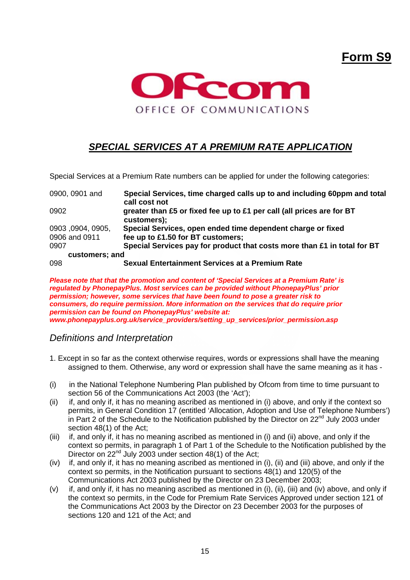# **Form S9**



# *SPECIAL SERVICES AT A PREMIUM RATE APPLICATION*

Special Services at a Premium Rate numbers can be applied for under the following categories:

| 0900, 0901 and  | Special Services, time charged calls up to and including 60ppm and total<br>call cost not |
|-----------------|-------------------------------------------------------------------------------------------|
| 0902            | greater than £5 or fixed fee up to £1 per call (all prices are for BT<br>customers);      |
| 0903,0904,0905, | Special Services, open ended time dependent charge or fixed                               |
| 0906 and 0911   | fee up to £1.50 for BT customers;                                                         |
| 0907            | Special Services pay for product that costs more than £1 in total for BT                  |
| customers; and  |                                                                                           |
| 098             | Sexual Entertainment Services at a Premium Rate                                           |

*Please note that that the promotion and content of 'Special Services at a Premium Rate' is regulated by PhonepayPlus. Most services can be provided without PhonepayPlus' prior permission; however, some services that have been found to pose a greater risk to consumers, do require permission. More information on the services that do require prior permission can be found on PhonepayPlus' website at: www.phonepayplus.org.uk/service\_providers/setting\_up\_services/prior\_permission.asp* 

### *Definitions and Interpretation*

- 1. Except in so far as the context otherwise requires, words or expressions shall have the meaning assigned to them. Otherwise, any word or expression shall have the same meaning as it has -
- (i) in the National Telephone Numbering Plan published by Ofcom from time to time pursuant to section 56 of the Communications Act 2003 (the 'Act');
- (ii) if, and only if, it has no meaning ascribed as mentioned in (i) above, and only if the context so permits, in General Condition 17 (entitled 'Allocation, Adoption and Use of Telephone Numbers') in Part 2 of the Schedule to the Notification published by the Director on 22<sup>nd</sup> July 2003 under section 48(1) of the Act;
- (iii) if, and only if, it has no meaning ascribed as mentioned in (i) and (ii) above, and only if the context so permits, in paragraph 1 of Part 1 of the Schedule to the Notification published by the Director on  $22^{nd}$  July 2003 under section 48(1) of the Act;
- (iv) if, and only if, it has no meaning ascribed as mentioned in (i), (ii) and (iii) above, and only if the context so permits, in the Notification pursuant to sections 48(1) and 120(5) of the Communications Act 2003 published by the Director on 23 December 2003;
- (v) if, and only if, it has no meaning ascribed as mentioned in (i), (ii), (iii) and (iv) above, and only if the context so permits, in the Code for Premium Rate Services Approved under section 121 of the Communications Act 2003 by the Director on 23 December 2003 for the purposes of sections 120 and 121 of the Act; and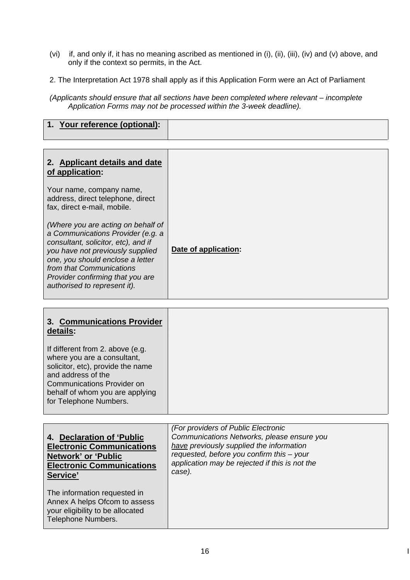- (vi) if, and only if, it has no meaning ascribed as mentioned in (i), (ii), (iii), (iv) and (v) above, and only if the context so permits, in the Act.
- 2. The Interpretation Act 1978 shall apply as if this Application Form were an Act of Parliament
- *(Applicants should ensure that all sections have been completed where relevant incomplete Application Forms may not be processed within the 3-week deadline).*

| 2. Applicant details and date<br>of application:                                                                                                                                                                                                                                       |                      |
|----------------------------------------------------------------------------------------------------------------------------------------------------------------------------------------------------------------------------------------------------------------------------------------|----------------------|
| Your name, company name,<br>address, direct telephone, direct<br>fax, direct e-mail, mobile.                                                                                                                                                                                           |                      |
| (Where you are acting on behalf of<br>a Communications Provider (e.g. a<br>consultant, solicitor, etc), and if<br>you have not previously supplied<br>one, you should enclose a letter<br>from that Communications<br>Provider confirming that you are<br>authorised to represent it). | Date of application: |

| 3. Communications Provider<br>details:                                                                                                                                                                                       |  |
|------------------------------------------------------------------------------------------------------------------------------------------------------------------------------------------------------------------------------|--|
| If different from 2. above (e.g.<br>where you are a consultant,<br>solicitor, etc), provide the name<br>and address of the<br><b>Communications Provider on</b><br>behalf of whom you are applying<br>for Telephone Numbers. |  |

|                                                                                                                         | (For providers of Public Electronic            |
|-------------------------------------------------------------------------------------------------------------------------|------------------------------------------------|
| 4. Declaration of 'Public                                                                                               | Communications Networks, please ensure you     |
| <b>Electronic Communications</b>                                                                                        | have previously supplied the information       |
| <b>Network' or 'Public</b>                                                                                              | requested, before you confirm this - your      |
| <b>Electronic Communications</b>                                                                                        | application may be rejected if this is not the |
| Service'                                                                                                                | case).                                         |
| The information requested in<br>Annex A helps Ofcom to assess<br>your eligibility to be allocated<br>Telephone Numbers. |                                                |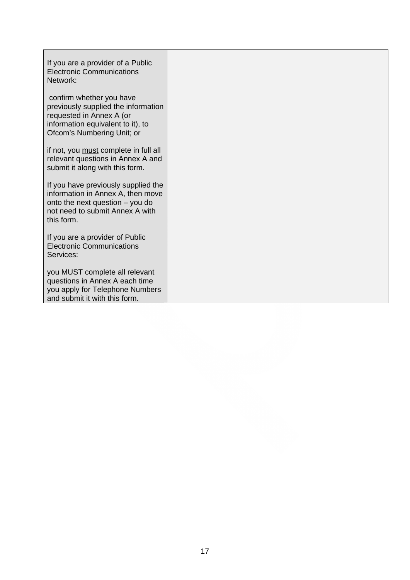| If you are a provider of a Public<br><b>Electronic Communications</b><br>Network:                                                                              |  |
|----------------------------------------------------------------------------------------------------------------------------------------------------------------|--|
| confirm whether you have<br>previously supplied the information<br>requested in Annex A (or<br>information equivalent to it), to<br>Ofcom's Numbering Unit; or |  |
| if not, you must complete in full all<br>relevant questions in Annex A and<br>submit it along with this form.                                                  |  |
| If you have previously supplied the<br>information in Annex A, then move<br>onto the next question - you do<br>not need to submit Annex A with<br>this form.   |  |
| If you are a provider of Public<br><b>Electronic Communications</b><br>Services:                                                                               |  |
| you MUST complete all relevant<br>questions in Annex A each time<br>you apply for Telephone Numbers<br>and submit it with this form.                           |  |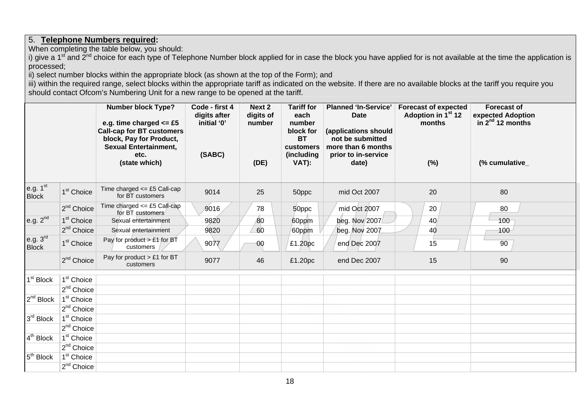## 5. **Telephone Numbers required:**

When completing the table below, you should:

i) give a 1<sup>st</sup> and 2<sup>nd</sup> choice for each type of Telephone Number block applied for in case the block you have applied for is not available at the time the application is processed;

ii) select number blocks within the appropriate block (as shown at the top of the Form); and

iii) within the required range, select blocks within the appropriate tariff as indicated on the website. If there are no available blocks at the tariff you require you should contact Ofcom's Numbering Unit for a new range to be opened at the tariff.

|                                      |                        | <b>Number block Type?</b><br>e.g. time charged $\leq$ £5<br><b>Call-cap for BT customers</b><br>block, Pay for Product,<br><b>Sexual Entertainment,</b><br>etc. | Code - first 4<br>digits after<br>initial '0'<br>(SABC) | Next 2<br>digits of<br>number | <b>Tariff for</b><br>each<br>number<br>block for<br><b>BT</b><br>customers<br>(including | <b>Planned 'In-Service'</b><br><b>Date</b><br>(applications should<br>not be submitted<br>more than 6 months<br>prior to in-service | <b>Forecast of expected</b><br>Adoption in 1 <sup>st</sup> 12<br>months | <b>Forecast of</b><br>expected Adoption<br>in $2^{nd}$ 12 months |  |
|--------------------------------------|------------------------|-----------------------------------------------------------------------------------------------------------------------------------------------------------------|---------------------------------------------------------|-------------------------------|------------------------------------------------------------------------------------------|-------------------------------------------------------------------------------------------------------------------------------------|-------------------------------------------------------------------------|------------------------------------------------------------------|--|
|                                      |                        | (state which)                                                                                                                                                   |                                                         | (DE)                          | VAT):                                                                                    | date)                                                                                                                               | $(\%)$                                                                  | (% cumulative_                                                   |  |
| e.g. $1st$<br><b>Block</b>           | 1 <sup>st</sup> Choice | Time charged $\leq$ £5 Call-cap<br>for BT customers                                                                                                             | 9014                                                    | 25                            | 50ppc                                                                                    | mid Oct 2007                                                                                                                        | 20                                                                      | 80                                                               |  |
|                                      | $2nd$ Choice           | Time charged $\leq$ £5 Call-cap<br>for BT customers                                                                                                             | 9016                                                    | 78                            | 50ppc                                                                                    | mid Oct 2007                                                                                                                        | 20                                                                      | 80                                                               |  |
| e.g. $2^{nd}$                        | 1 <sup>st</sup> Choice | Sexual entertainment                                                                                                                                            | 9820                                                    | 80                            | 60ppm                                                                                    | beg. Nov 2007                                                                                                                       | 40                                                                      | $100 -$                                                          |  |
|                                      | 2 <sup>nd</sup> Choice | Sexual entertainment                                                                                                                                            | 9820                                                    | 60                            | 60ppm                                                                                    | beg. Nov 2007                                                                                                                       | 40                                                                      | 100                                                              |  |
| e.g. 3 <sup>rd</sup><br><b>Block</b> | 1 <sup>st</sup> Choice | Pay for product $> \pounds 1$ for BT<br>customers                                                                                                               | 9077                                                    | 00                            | £1.20pc                                                                                  | end Dec 2007                                                                                                                        | 15                                                                      | 90                                                               |  |
|                                      | 2 <sup>nd</sup> Choice | Pay for product > £1 for BT<br>customers                                                                                                                        | 9077                                                    | 46                            | £1.20pc                                                                                  | end Dec 2007                                                                                                                        | 15                                                                      | 90                                                               |  |
| 1 <sup>st</sup> Block                | 1 <sup>st</sup> Choice |                                                                                                                                                                 |                                                         |                               |                                                                                          |                                                                                                                                     |                                                                         |                                                                  |  |
|                                      | $2^{nd}$ Choice        |                                                                                                                                                                 |                                                         |                               |                                                                                          |                                                                                                                                     |                                                                         |                                                                  |  |
| $2^{nd}$ Block                       | 1 <sup>st</sup> Choice |                                                                                                                                                                 |                                                         |                               |                                                                                          |                                                                                                                                     |                                                                         |                                                                  |  |
|                                      | $2^{nd}$ Choice        |                                                                                                                                                                 |                                                         |                               |                                                                                          |                                                                                                                                     |                                                                         |                                                                  |  |
| $3rd$ Block                          | 1 <sup>st</sup> Choice |                                                                                                                                                                 |                                                         |                               |                                                                                          |                                                                                                                                     |                                                                         |                                                                  |  |
|                                      | $2nd$ Choice           |                                                                                                                                                                 |                                                         |                               |                                                                                          |                                                                                                                                     |                                                                         |                                                                  |  |
| $4^{th}$ Block                       | $1st$ Choice           |                                                                                                                                                                 |                                                         |                               |                                                                                          |                                                                                                                                     |                                                                         |                                                                  |  |
|                                      | $2^{nd}$ Choice        |                                                                                                                                                                 |                                                         |                               |                                                                                          |                                                                                                                                     |                                                                         |                                                                  |  |
| 5 <sup>th</sup> Block                | 1 <sup>st</sup> Choice |                                                                                                                                                                 |                                                         |                               |                                                                                          |                                                                                                                                     |                                                                         |                                                                  |  |
|                                      | $2^{nd}$ Choice        |                                                                                                                                                                 |                                                         |                               |                                                                                          |                                                                                                                                     |                                                                         |                                                                  |  |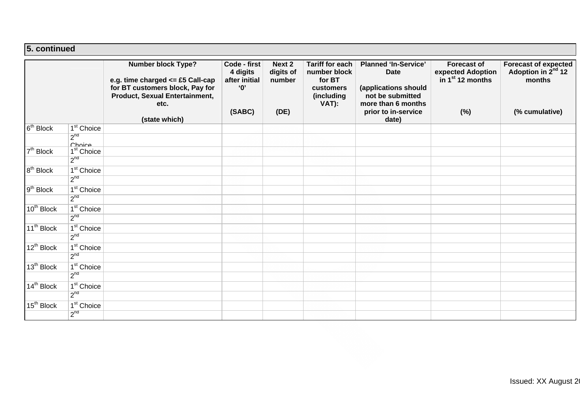#### **5. continued**

|                        |                                           | <b>Number block Type?</b><br>e.g. time charged $\le$ £5 Call-cap<br>for BT customers block, Pay for<br>Product, Sexual Entertainment,<br>etc.<br>(state which) | Code - first<br>4 digits<br>after initial<br>$^{\circ}$ 0'<br>(SABC) | Next 2<br>digits of<br>number<br>(DE) | <b>Tariff for each</b><br>number block<br>for BT<br>customers<br>(including<br>VAT): | <b>Planned 'In-Service'</b><br><b>Date</b><br>(applications should<br>not be submitted<br>more than 6 months<br>prior to in-service<br>date) | <b>Forecast of</b><br>expected Adoption<br>in $1st 12$ months<br>(%) | <b>Forecast of expected</b><br>Adoption in 2 <sup>nd</sup> 12<br>months<br>(% cumulative) |
|------------------------|-------------------------------------------|----------------------------------------------------------------------------------------------------------------------------------------------------------------|----------------------------------------------------------------------|---------------------------------------|--------------------------------------------------------------------------------------|----------------------------------------------------------------------------------------------------------------------------------------------|----------------------------------------------------------------------|-------------------------------------------------------------------------------------------|
| 6 <sup>th</sup> Block  | $\sqrt{1^{st}}$ Choice                    |                                                                                                                                                                |                                                                      |                                       |                                                                                      |                                                                                                                                              |                                                                      |                                                                                           |
|                        | $2^{nd}$<br>Choice                        |                                                                                                                                                                |                                                                      |                                       |                                                                                      |                                                                                                                                              |                                                                      |                                                                                           |
| $7th$ Block            | 1 <sup>st</sup> Choice                    |                                                                                                                                                                |                                                                      |                                       |                                                                                      |                                                                                                                                              |                                                                      |                                                                                           |
|                        | $2^{nd}$                                  |                                                                                                                                                                |                                                                      |                                       |                                                                                      |                                                                                                                                              |                                                                      |                                                                                           |
| $8th$ Block            | $1st$ Choice                              |                                                                                                                                                                |                                                                      |                                       |                                                                                      |                                                                                                                                              |                                                                      |                                                                                           |
|                        | 2 <sup>nd</sup>                           |                                                                                                                                                                |                                                                      |                                       |                                                                                      |                                                                                                                                              |                                                                      |                                                                                           |
| 9 <sup>th</sup> Block  | $1st$ Choice                              |                                                                                                                                                                |                                                                      |                                       |                                                                                      |                                                                                                                                              |                                                                      |                                                                                           |
|                        | 2 <sup>nd</sup>                           |                                                                                                                                                                |                                                                      |                                       |                                                                                      |                                                                                                                                              |                                                                      |                                                                                           |
| 10 <sup>th</sup> Block | $1st$ Choice<br>2 <sup>nd</sup>           |                                                                                                                                                                |                                                                      |                                       |                                                                                      |                                                                                                                                              |                                                                      |                                                                                           |
|                        |                                           |                                                                                                                                                                |                                                                      |                                       |                                                                                      |                                                                                                                                              |                                                                      |                                                                                           |
| 11 <sup>th</sup> Block | 1 <sup>st</sup> Choice<br>2 <sup>nd</sup> |                                                                                                                                                                |                                                                      |                                       |                                                                                      |                                                                                                                                              |                                                                      |                                                                                           |
|                        |                                           |                                                                                                                                                                |                                                                      |                                       |                                                                                      |                                                                                                                                              |                                                                      |                                                                                           |
| $12^{th}$ Block        | $1st$ Choice<br>2 <sup>nd</sup>           |                                                                                                                                                                |                                                                      |                                       |                                                                                      |                                                                                                                                              |                                                                      |                                                                                           |
| 13 <sup>th</sup> Block | $1st$ Choice                              |                                                                                                                                                                |                                                                      |                                       |                                                                                      |                                                                                                                                              |                                                                      |                                                                                           |
|                        | $2^{nd}$                                  |                                                                                                                                                                |                                                                      |                                       |                                                                                      |                                                                                                                                              |                                                                      |                                                                                           |
| 14 <sup>th</sup> Block | 1 <sup>st</sup> Choice                    |                                                                                                                                                                |                                                                      |                                       |                                                                                      |                                                                                                                                              |                                                                      |                                                                                           |
|                        | 2 <sup>nd</sup>                           |                                                                                                                                                                |                                                                      |                                       |                                                                                      |                                                                                                                                              |                                                                      |                                                                                           |
| 15 <sup>th</sup> Block | $1st$ Choice                              |                                                                                                                                                                |                                                                      |                                       |                                                                                      |                                                                                                                                              |                                                                      |                                                                                           |
|                        | 2 <sup>nd</sup>                           |                                                                                                                                                                |                                                                      |                                       |                                                                                      |                                                                                                                                              |                                                                      |                                                                                           |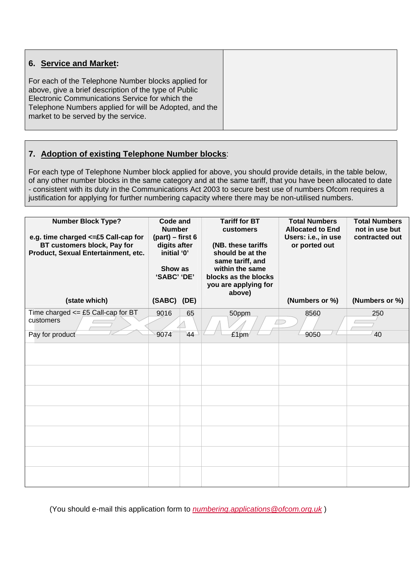| 6. Service and Market:                                                                                                                                                                                                                                           |  |
|------------------------------------------------------------------------------------------------------------------------------------------------------------------------------------------------------------------------------------------------------------------|--|
| For each of the Telephone Number blocks applied for<br>above, give a brief description of the type of Public<br>Electronic Communications Service for which the<br>Telephone Numbers applied for will be Adopted, and the<br>market to be served by the service. |  |

## **7. Adoption of existing Telephone Number blocks**:

For each type of Telephone Number block applied for above, you should provide details, in the table below, of any other number blocks in the same category and at the same tariff, that you have been allocated to date - consistent with its duty in the Communications Act 2003 to secure best use of numbers Ofcom requires a justification for applying for further numbering capacity where there may be non-utilised numbers.

| <b>Number Block Type?</b><br>e.g. time charged <= £5 Call-cap for<br>BT customers block, Pay for<br>Product, Sexual Entertainment, etc. | <b>Code and</b><br><b>Number</b><br>$(part) - first 6$<br>digits after<br>initial '0'<br>Show as<br>'SABC' 'DE' |          |               |                |                |  | <b>Tariff for BT</b><br><b>customers</b><br>(NB. these tariffs<br>should be at the<br>same tariff, and<br>within the same<br>blocks as the blocks<br>you are applying for<br>above) | <b>Total Numbers</b><br><b>Allocated to End</b><br>Users: i.e., in use<br>or ported out | <b>Total Numbers</b><br>not in use but<br>contracted out |
|-----------------------------------------------------------------------------------------------------------------------------------------|-----------------------------------------------------------------------------------------------------------------|----------|---------------|----------------|----------------|--|-------------------------------------------------------------------------------------------------------------------------------------------------------------------------------------|-----------------------------------------------------------------------------------------|----------------------------------------------------------|
| (state which)                                                                                                                           | (SABC) (DE)                                                                                                     |          |               | (Numbers or %) | (Numbers or %) |  |                                                                                                                                                                                     |                                                                                         |                                                          |
| Time charged $\leq$ £5 Call-cap for BT<br>customers<br>Pay for product                                                                  | 9016<br>9074                                                                                                    | 65<br>44 | 50ppm<br>£1pm | 8560<br>9050   | 250<br>40      |  |                                                                                                                                                                                     |                                                                                         |                                                          |
|                                                                                                                                         |                                                                                                                 |          |               |                |                |  |                                                                                                                                                                                     |                                                                                         |                                                          |
|                                                                                                                                         |                                                                                                                 |          |               |                |                |  |                                                                                                                                                                                     |                                                                                         |                                                          |
|                                                                                                                                         |                                                                                                                 |          |               |                |                |  |                                                                                                                                                                                     |                                                                                         |                                                          |
|                                                                                                                                         |                                                                                                                 |          |               |                |                |  |                                                                                                                                                                                     |                                                                                         |                                                          |
|                                                                                                                                         |                                                                                                                 |          |               |                |                |  |                                                                                                                                                                                     |                                                                                         |                                                          |
|                                                                                                                                         |                                                                                                                 |          |               |                |                |  |                                                                                                                                                                                     |                                                                                         |                                                          |
|                                                                                                                                         |                                                                                                                 |          |               |                |                |  |                                                                                                                                                                                     |                                                                                         |                                                          |

(You should e-mail this application form to *numbering.applications@ofcom.org.uk* )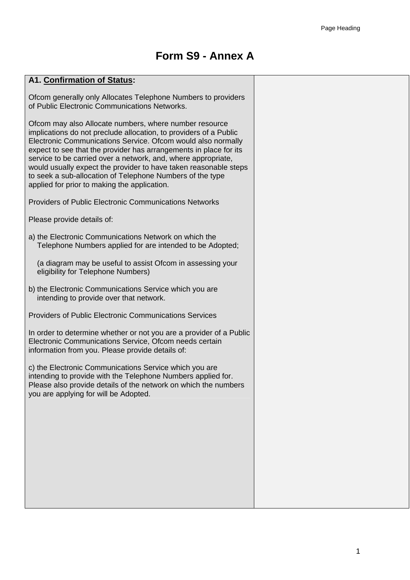# **Form S9 - Annex A**

#### **A1. Confirmation of Status:**

Ofcom generally only Allocates Telephone Numbers to providers of Public Electronic Communications Networks.

Ofcom may also Allocate numbers, where number resource implications do not preclude allocation, to providers of a Public Electronic Communications Service. Ofcom would also normally expect to see that the provider has arrangements in place for its service to be carried over a network, and, where appropriate, would usually expect the provider to have taken reasonable steps to seek a sub-allocation of Telephone Numbers of the type applied for prior to making the application.

Providers of Public Electronic Communications Networks

Please provide details of:

a) the Electronic Communications Network on which the Telephone Numbers applied for are intended to be Adopted;

(a diagram may be useful to assist Ofcom in assessing your eligibility for Telephone Numbers)

b) the Electronic Communications Service which you are intending to provide over that network.

Providers of Public Electronic Communications Services

In order to determine whether or not you are a provider of a Public Electronic Communications Service, Ofcom needs certain information from you. Please provide details of:

c) the Electronic Communications Service which you are intending to provide with the Telephone Numbers applied for. Please also provide details of the network on which the numbers you are applying for will be Adopted.